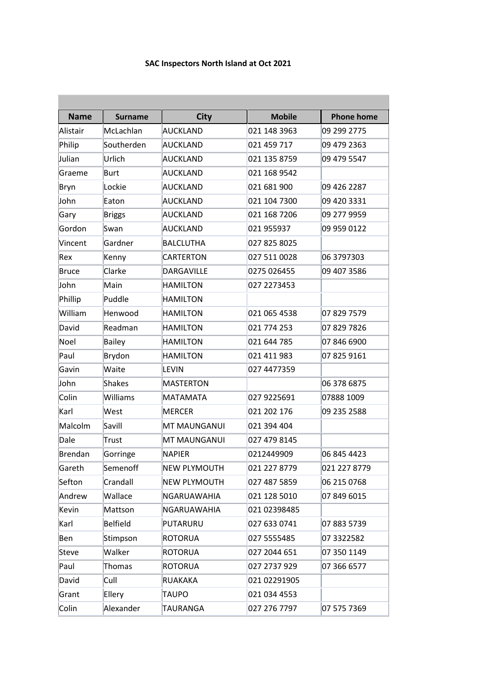## **SAC Inspectors North Island at Oct 2021**

| <b>Name</b>  | <b>Surname</b> | <b>City</b>         | <b>Mobile</b> | <b>Phone home</b> |
|--------------|----------------|---------------------|---------------|-------------------|
| Alistair     | McLachlan      | <b>AUCKLAND</b>     | 021 148 3963  | 09 299 2775       |
| Philip       | Southerden     | <b>AUCKLAND</b>     | 021 459 717   | 09 479 2363       |
| Julian       | Urlich         | <b>AUCKLAND</b>     | 021 135 8759  | 09 479 5547       |
| Graeme       | Burt           | <b>AUCKLAND</b>     | 021 168 9542  |                   |
| Bryn         | Lockie         | <b>AUCKLAND</b>     | 021 681 900   | 09 426 2287       |
| John         | Eaton          | <b>AUCKLAND</b>     | 021 104 7300  | 09 420 3331       |
| Gary         | <b>Briggs</b>  | <b>AUCKLAND</b>     | 021 168 7206  | 09 277 9959       |
| Gordon       | Swan           | <b>AUCKLAND</b>     | 021 955937    | 09 959 0122       |
| Vincent      | Gardner        | <b>BALCLUTHA</b>    | 027 825 8025  |                   |
| Rex          | Kenny          | <b>CARTERTON</b>    | 027 511 0028  | 06 3797303        |
| <b>Bruce</b> | Clarke         | <b>DARGAVILLE</b>   | 0275 026455   | 09 407 3586       |
| John         | Main           | <b>HAMILTON</b>     | 027 2273453   |                   |
| Phillip      | Puddle         | <b>HAMILTON</b>     |               |                   |
| William      | Henwood        | <b>HAMILTON</b>     | 021 065 4538  | 07 829 7579       |
| David        | Readman        | <b>HAMILTON</b>     | 021 774 253   | 07 829 7826       |
| Noel         | <b>Bailey</b>  | <b>HAMILTON</b>     | 021 644 785   | 07 846 6900       |
| Paul         | Brydon         | <b>HAMILTON</b>     | 021 411 983   | 07 825 9161       |
| Gavin        | Waite          | <b>LEVIN</b>        | 027 4477359   |                   |
| John         | <b>Shakes</b>  | <b>MASTERTON</b>    |               | 06 378 6875       |
| Colin        | Williams       | <b>MATAMATA</b>     | 027 9225691   | 07888 1009        |
| Karl         | West           | <b>MERCER</b>       | 021 202 176   | 09 235 2588       |
| Malcolm      | Savill         | <b>MT MAUNGANUI</b> | 021 394 404   |                   |
| Dale         | <b>Trust</b>   | MT MAUNGANUI        | 027 479 8145  |                   |
| Brendan      | Gorringe       | <b>NAPIER</b>       | 0212449909    | 06 845 4423       |
| Gareth       | Semenoff       | <b>NEW PLYMOUTH</b> | 021 227 8779  | 021 227 8779      |
| Sefton       | Crandall       | <b>NEW PLYMOUTH</b> | 027 487 5859  | 06 215 0768       |
| Andrew       | Wallace        | NGARUAWAHIA         | 021 128 5010  | 07 849 6015       |
| Kevin        | Mattson        | NGARUAWAHIA         | 021 02398485  |                   |
| Karl         | Belfield       | PUTARURU            | 027 633 0741  | 07 883 5739       |
| Ben          | Stimpson       | ROTORUA             | 027 5555485   | 07 3322582        |
| Steve        | Walker         | <b>ROTORUA</b>      | 027 2044 651  | 07 350 1149       |
| Paul         | <b>Thomas</b>  | ROTORUA             | 027 2737 929  | 07 366 6577       |
| David        | Cull           | RUAKAKA             | 021 02291905  |                   |
| Grant        | Ellery         | TAUPO               | 021 034 4553  |                   |
| Colin        | Alexander      | TAURANGA            | 027 276 7797  | 07 575 7369       |